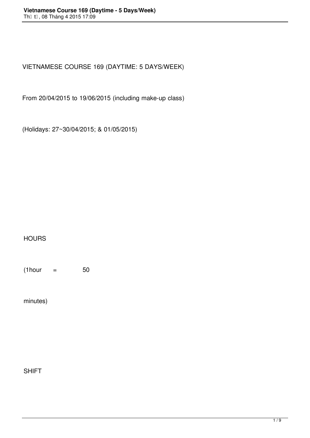VIETNAMESE COURSE 169 (DAYTIME: 5 DAYS/WEEK)

From 20/04/2015 to 19/06/2015 (including make-up class)

(Holidays: 27~30/04/2015; & 01/05/2015)

## **HOURS**

 $(1$ hour = 50

minutes)

SHIFT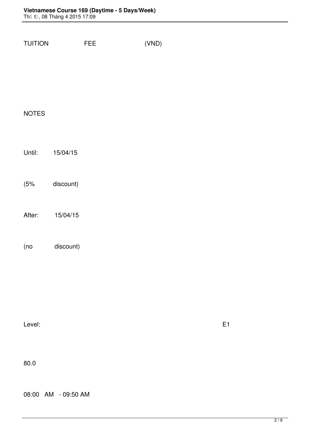| <b>NOTES</b><br>Until: 15/04/15<br>(5% discount)<br>After: 15/04/15<br>(no discount)<br>Level:<br>E1<br>80.0 | TUITION FEE | (VND) |  |  |  |
|--------------------------------------------------------------------------------------------------------------|-------------|-------|--|--|--|
|                                                                                                              |             |       |  |  |  |
|                                                                                                              |             |       |  |  |  |
|                                                                                                              |             |       |  |  |  |
|                                                                                                              |             |       |  |  |  |
|                                                                                                              |             |       |  |  |  |
|                                                                                                              |             |       |  |  |  |
|                                                                                                              |             |       |  |  |  |
|                                                                                                              |             |       |  |  |  |
|                                                                                                              |             |       |  |  |  |
|                                                                                                              |             |       |  |  |  |
|                                                                                                              |             |       |  |  |  |
|                                                                                                              |             |       |  |  |  |
|                                                                                                              |             |       |  |  |  |
|                                                                                                              |             |       |  |  |  |
|                                                                                                              |             |       |  |  |  |
|                                                                                                              |             |       |  |  |  |
|                                                                                                              |             |       |  |  |  |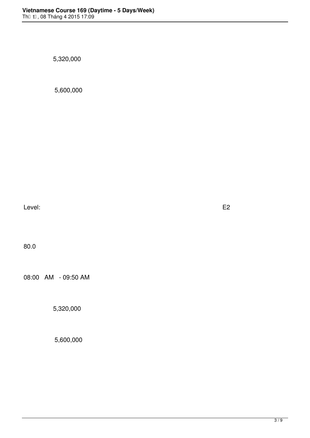5,320,000

5,600,000

Level: E2

80.0

08:00 AM - 09:50 AM

5,320,000

5,600,000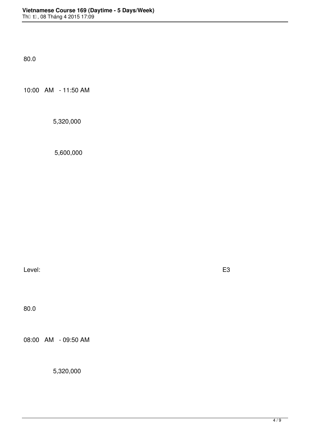80.0

10:00 AM - 11:50 AM

5,320,000

5,600,000

Level: E3

80.0

08:00 AM - 09:50 AM

5,320,000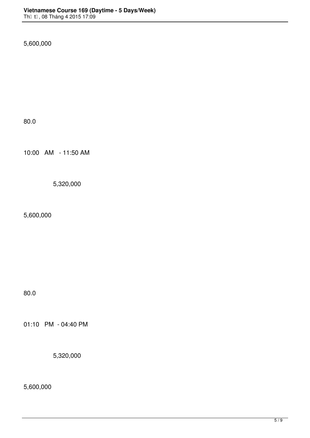5,600,000

80.0

10:00 AM - 11:50 AM

5,320,000

5,600,000

80.0

01:10 PM - 04:40 PM

5,320,000

5,600,000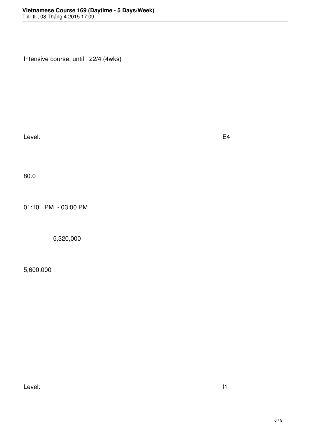Intensive course, until 22/4 (4wks)

Level: E4

80.0

01:10 PM - 03:00 PM

5,320,000

5,600,000

Level: International Level in the set of  $\sim$  11  $\sim$  500  $\,$   $\sim$  11  $\sim$  500  $\,$   $\sim$  500  $\,$   $\sim$  500  $\,$   $\sim$  500  $\,$   $\sim$  500  $\,$   $\sim$  500  $\,$   $\sim$  500  $\,$   $\sim$  500  $\,$   $\sim$  500  $\,$   $\sim$  500  $\,$   $\sim$  500  $\$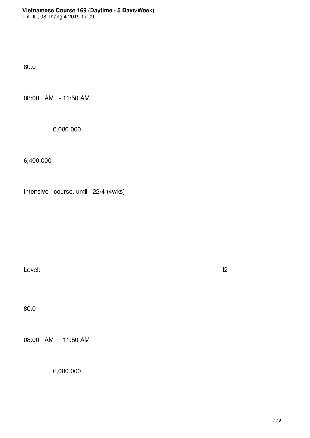80.0

08:00 AM - 11:50 AM

6,080,000

6,400,000

Intensive course, until 22/4 (4wks)

Level: International and the set of the set of the set of the set of the set of the set of the set of the set o

80.0

08:00 AM - 11:50 AM

6,080,000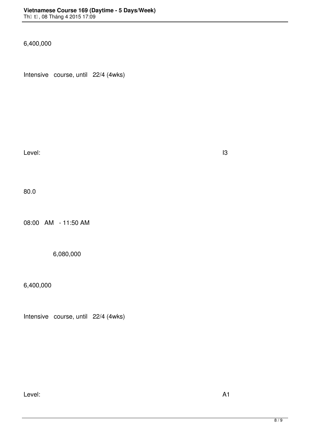6,400,000

Intensive course, until 22/4 (4wks)

Level: I3 (VSL4: level)

80.0

08:00 AM - 11:50 AM

6,080,000

6,400,000

Intensive course, until 22/4 (4wks)

Level: A1 (VSL5: lesson 1->5)